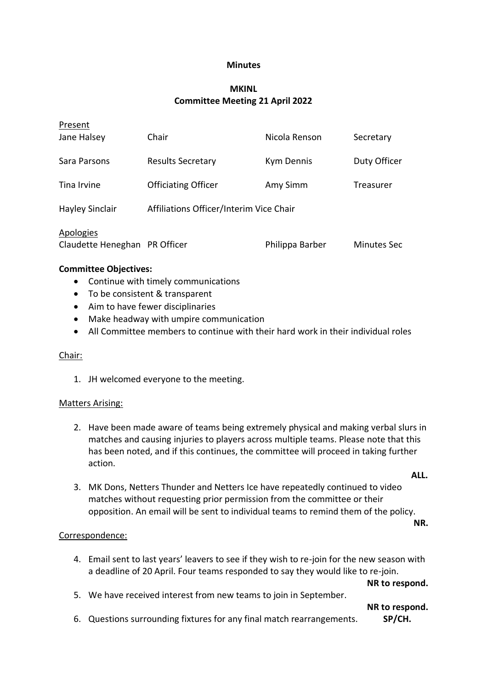#### **Minutes**

## **MKINL Committee Meeting 21 April 2022**

| Present                                    |                                         |                   |              |
|--------------------------------------------|-----------------------------------------|-------------------|--------------|
| Jane Halsey                                | Chair                                   | Nicola Renson     | Secretary    |
| Sara Parsons                               | <b>Results Secretary</b>                | <b>Kym Dennis</b> | Duty Officer |
| Tina Irvine                                | <b>Officiating Officer</b>              | Amy Simm          | Treasurer    |
| <b>Hayley Sinclair</b>                     | Affiliations Officer/Interim Vice Chair |                   |              |
| Apologies<br>Claudette Heneghan PR Officer |                                         | Philippa Barber   | Minutes Sec  |
| <b>Committee Objectives:</b>               |                                         |                   |              |

- Continue with timely communications
- To be consistent & transparent
- Aim to have fewer disciplinaries
- Make headway with umpire communication
- All Committee members to continue with their hard work in their individual roles

#### Chair:

1. JH welcomed everyone to the meeting.

#### Matters Arising:

2. Have been made aware of teams being extremely physical and making verbal slurs in matches and causing injuries to players across multiple teams. Please note that this has been noted, and if this continues, the committee will proceed in taking further action.

**ALL.**

3. MK Dons, Netters Thunder and Netters Ice have repeatedly continued to video matches without requesting prior permission from the committee or their opposition. An email will be sent to individual teams to remind them of the policy.

**NR.**

#### Correspondence:

4. Email sent to last years' leavers to see if they wish to re-join for the new season with a deadline of 20 April. Four teams responded to say they would like to re-join.

**NR to respond.**

5. We have received interest from new teams to join in September.

**NR to respond.**

6. Questions surrounding fixtures for any final match rearrangements. **SP/CH.**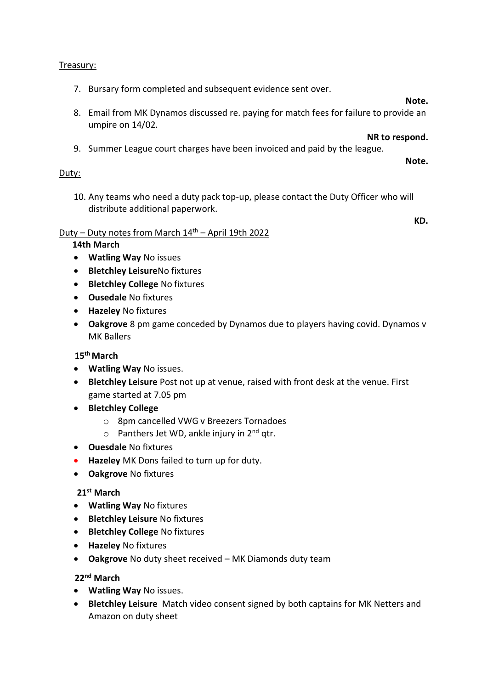## Treasury:

7. Bursary form completed and subsequent evidence sent over.

#### **Note.**

**Note.**

8. Email from MK Dynamos discussed re. paying for match fees for failure to provide an umpire on 14/02.

**NR to respond.**

9. Summer League court charges have been invoiced and paid by the league.

## Duty:

10. Any teams who need a duty pack top-up, please contact the Duty Officer who will distribute additional paperwork.

#### **KD.**

## Duty – Duty notes from March  $14<sup>th</sup>$  – April 19th 2022

## **14th March**

- **Watling Way** No issues
- **•** Bletchley LeisureNo fixtures
- **Bletchley College** No fixtures
- **Ousedale** No fixtures
- **Hazeley** No fixtures
- **Oakgrove** 8 pm game conceded by Dynamos due to players having covid. Dynamos v MK Ballers

## **15th March**

- **Watling Way** No issues.
- **Bletchley Leisure** Post not up at venue, raised with front desk at the venue. First game started at 7.05 pm
- **Bletchley College** 
	- o 8pm cancelled VWG v Breezers Tornadoes
	- $\circ$  Panthers Jet WD, ankle injury in 2<sup>nd</sup> qtr.
- **Ouesdale** No fixtures
- **Hazeley** MK Dons failed to turn up for duty.
- **Oakgrove** No fixtures

#### **21st March**

- **Watling Way** No fixtures
- **Bletchley Leisure** No fixtures
- **Bletchley College** No fixtures
- **Hazeley** No fixtures
- **Oakgrove** No duty sheet received MK Diamonds duty team

 **22nd March**

- **Watling Way** No issues.
- **Bletchley Leisure** Match video consent signed by both captains for MK Netters and Amazon on duty sheet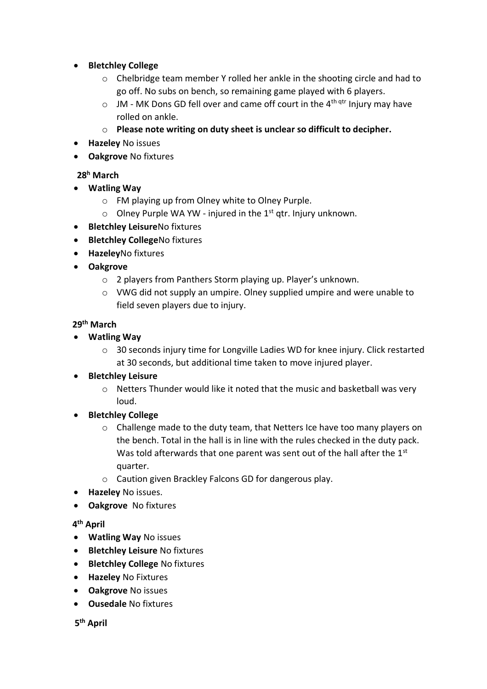- **Bletchley College**
	- $\circ$  Chelbridge team member Y rolled her ankle in the shooting circle and had to go off. No subs on bench, so remaining game played with 6 players.
	- $\circ$  JM MK Dons GD fell over and came off court in the 4<sup>th qtr</sup> Injury may have rolled on ankle.
	- o **Please note writing on duty sheet is unclear so difficult to decipher.**
- **Hazeley** No issues
- **Oakgrove** No fixtures

## **28<sup>h</sup> March**

- **Watling Way**
	- o FM playing up from Olney white to Olney Purple.
	- $\circ$  Olney Purple WA YW injured in the 1<sup>st</sup> qtr. Injury unknown.
- **Bletchley Leisure**No fixtures
- **Bletchley College**No fixtures
- **Hazeley**No fixtures
- **Oakgrove**
	- o 2 players from Panthers Storm playing up. Player's unknown.
	- o VWG did not supply an umpire. Olney supplied umpire and were unable to field seven players due to injury.

## **29th March**

- **Watling Way**
	- o 30 seconds injury time for Longville Ladies WD for knee injury. Click restarted at 30 seconds, but additional time taken to move injured player.

## **Bletchley Leisure**

- o Netters Thunder would like it noted that the music and basketball was very loud.
- **Bletchley College**
	- $\circ$  Challenge made to the duty team, that Netters Ice have too many players on the bench. Total in the hall is in line with the rules checked in the duty pack. Was told afterwards that one parent was sent out of the hall after the 1<sup>st</sup> quarter.
	- o Caution given Brackley Falcons GD for dangerous play.
- **Hazeley** No issues.
- **Oakgrove** No fixtures

## **4 th April**

- **Watling Way** No issues
- **Bletchley Leisure** No fixtures
- **Bletchley College** No fixtures
- **Hazeley** No Fixtures
- **Oakgrove** No issues
- **Ousedale** No fixtures

 **5 th April**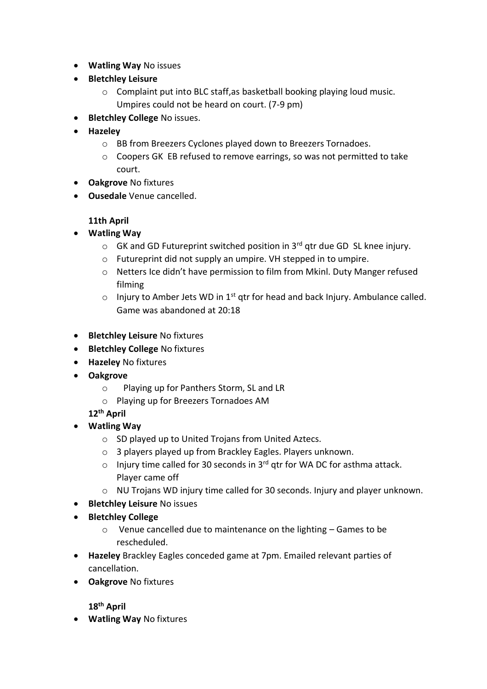- **Watling Way** No issues
- **Bletchley Leisure**
	- o Complaint put into BLC staff,as basketball booking playing loud music. Umpires could not be heard on court. (7-9 pm)
- **•** Bletchley College No issues.
- **Hazeley**
	- o BB from Breezers Cyclones played down to Breezers Tornadoes.
	- o Coopers GK EB refused to remove earrings, so was not permitted to take court.
- **Oakgrove** No fixtures
- **Ousedale** Venue cancelled.

## **11th April**

- **Watling Way**
	- $\circ$  GK and GD Futureprint switched position in 3<sup>rd</sup> gtr due GD SL knee injury.
	- o Futureprint did not supply an umpire. VH stepped in to umpire.
	- o Netters Ice didn't have permission to film from Mkinl. Duty Manger refused filming
	- $\circ$  Injury to Amber Jets WD in 1<sup>st</sup> qtr for head and back Injury. Ambulance called. Game was abandoned at 20:18
- **•** Bletchley Leisure No fixtures
- **•** Bletchley College No fixtures
- **Hazeley** No fixtures
- **Oakgrove**
	- oPlaying up for Panthers Storm, SL and LR
	- o Playing up for Breezers Tornadoes AM

**12th April**

- **Watling Way**
	- o SD played up to United Trojans from United Aztecs.
	- o 3 players played up from Brackley Eagles. Players unknown.
	- $\circ$  Injury time called for 30 seconds in 3<sup>rd</sup> gtr for WA DC for asthma attack. Player came off
	- o NU Trojans WD injury time called for 30 seconds. Injury and player unknown.
- **•** Bletchley Leisure No issues
- **Bletchley College**
	- o Venue cancelled due to maintenance on the lighting Games to be rescheduled.
- **Hazeley** Brackley Eagles conceded game at 7pm. Emailed relevant parties of cancellation.
- **Oakgrove** No fixtures

**18th April**

**Watling Way** No fixtures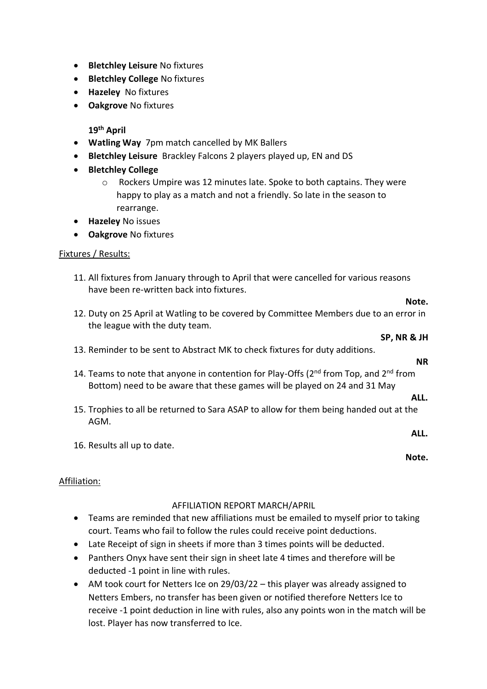- **Bletchley Leisure** No fixtures
- **•** Bletchley College No fixtures
- **Hazeley** No fixtures
- **Oakgrove** No fixtures

**19th April** 

- **Watling Way** 7pm match cancelled by MK Ballers
- **Bletchley Leisure** Brackley Falcons 2 players played up, EN and DS
- **Bletchley College**
	- o Rockers Umpire was 12 minutes late. Spoke to both captains. They were happy to play as a match and not a friendly. So late in the season to rearrange.
- **Hazeley** No issues
- **Oakgrove** No fixtures

## Fixtures / Results:

- 11. All fixtures from January through to April that were cancelled for various reasons have been re-written back into fixtures.
- 12. Duty on 25 April at Watling to be covered by Committee Members due to an error in the league with the duty team.
- 13. Reminder to be sent to Abstract MK to check fixtures for duty additions.
- 14. Teams to note that anyone in contention for Play-Offs ( $2<sup>nd</sup>$  from Top, and  $2<sup>nd</sup>$  from Bottom) need to be aware that these games will be played on 24 and 31 May
- 15. Trophies to all be returned to Sara ASAP to allow for them being handed out at the AGM.
- 16. Results all up to date.

#### Affiliation:

#### AFFILIATION REPORT MARCH/APRIL

- Teams are reminded that new affiliations must be emailed to myself prior to taking court. Teams who fail to follow the rules could receive point deductions.
- Late Receipt of sign in sheets if more than 3 times points will be deducted.
- Panthers Onyx have sent their sign in sheet late 4 times and therefore will be deducted -1 point in line with rules.
- AM took court for Netters Ice on 29/03/22 this player was already assigned to Netters Embers, no transfer has been given or notified therefore Netters Ice to receive -1 point deduction in line with rules, also any points won in the match will be lost. Player has now transferred to Ice.

# **NR**

**SP, NR & JH**

**Note.**

## **ALL.**

#### **ALL.**

**Note.**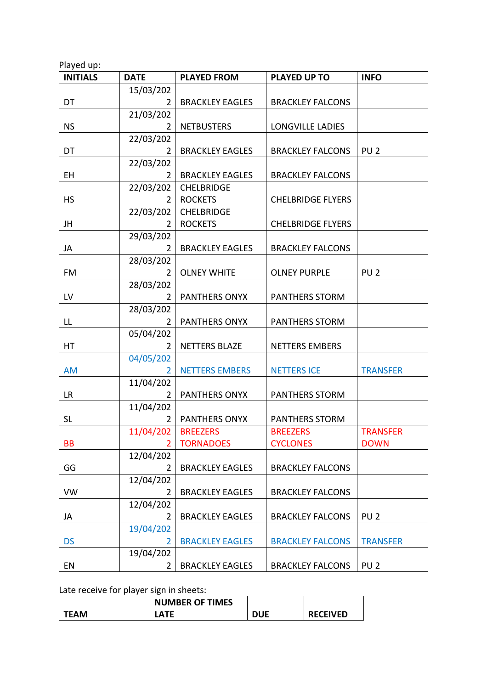| <b>INITIALS</b> | <b>DATE</b>    | <b>PLAYED FROM</b>     | <b>PLAYED UP TO</b>      | <b>INFO</b>     |
|-----------------|----------------|------------------------|--------------------------|-----------------|
|                 | 15/03/202      |                        |                          |                 |
| DT              | 2              | <b>BRACKLEY EAGLES</b> | <b>BRACKLEY FALCONS</b>  |                 |
|                 | 21/03/202      |                        |                          |                 |
| <b>NS</b>       | 2              | <b>NETBUSTERS</b>      | <b>LONGVILLE LADIES</b>  |                 |
|                 | 22/03/202      |                        |                          |                 |
| DT              | 2              | <b>BRACKLEY EAGLES</b> | <b>BRACKLEY FALCONS</b>  | PU <sub>2</sub> |
|                 | 22/03/202      |                        |                          |                 |
| <b>EH</b>       | 2              | <b>BRACKLEY EAGLES</b> | <b>BRACKLEY FALCONS</b>  |                 |
|                 | 22/03/202      | <b>CHELBRIDGE</b>      |                          |                 |
| <b>HS</b>       | 2              | <b>ROCKETS</b>         | <b>CHELBRIDGE FLYERS</b> |                 |
|                 | 22/03/202      | <b>CHELBRIDGE</b>      |                          |                 |
| JH              | 2              | <b>ROCKETS</b>         | <b>CHELBRIDGE FLYERS</b> |                 |
|                 | 29/03/202      |                        |                          |                 |
| JA              | $\overline{2}$ | <b>BRACKLEY EAGLES</b> | <b>BRACKLEY FALCONS</b>  |                 |
|                 | 28/03/202      |                        |                          |                 |
| FM              | 2              | <b>OLNEY WHITE</b>     | <b>OLNEY PURPLE</b>      | PU <sub>2</sub> |
|                 | 28/03/202      |                        |                          |                 |
| LV              | 2              | <b>PANTHERS ONYX</b>   | <b>PANTHERS STORM</b>    |                 |
|                 | 28/03/202      |                        |                          |                 |
| LL              | $\overline{2}$ | PANTHERS ONYX          | <b>PANTHERS STORM</b>    |                 |
|                 | 05/04/202      |                        |                          |                 |
| HT              | $\overline{2}$ | <b>NETTERS BLAZE</b>   | <b>NETTERS EMBERS</b>    |                 |
|                 | 04/05/202      |                        |                          |                 |
| <b>AM</b>       | 2              | <b>NETTERS EMBERS</b>  | <b>NETTERS ICE</b>       | <b>TRANSFER</b> |
|                 | 11/04/202      |                        |                          |                 |
| <b>LR</b>       | 2              | <b>PANTHERS ONYX</b>   | <b>PANTHERS STORM</b>    |                 |
|                 | 11/04/202      |                        |                          |                 |
| <b>SL</b>       | $\overline{2}$ | <b>PANTHERS ONYX</b>   | <b>PANTHERS STORM</b>    |                 |
|                 | 11/04/202      | <b>BREEZERS</b>        | <b>BREEZERS</b>          | <b>TRANSFER</b> |
| <b>BB</b>       |                | <b>TORNADOES</b>       | <b>CYCLONES</b>          | <b>DOWN</b>     |
|                 | 12/04/202      |                        |                          |                 |
| GG              | $\overline{2}$ | <b>BRACKLEY EAGLES</b> | <b>BRACKLEY FALCONS</b>  |                 |
|                 | 12/04/202      |                        |                          |                 |
| <b>VW</b>       | 2              | <b>BRACKLEY EAGLES</b> | <b>BRACKLEY FALCONS</b>  |                 |
|                 | 12/04/202      |                        |                          |                 |
| JA              | $\overline{2}$ | <b>BRACKLEY EAGLES</b> | <b>BRACKLEY FALCONS</b>  | PU <sub>2</sub> |
|                 | 19/04/202      |                        |                          |                 |
| <b>DS</b>       | 2              | <b>BRACKLEY EAGLES</b> | <b>BRACKLEY FALCONS</b>  | <b>TRANSFER</b> |
|                 | 19/04/202      |                        |                          |                 |
| EN              | $\overline{2}$ | <b>BRACKLEY EAGLES</b> | <b>BRACKLEY FALCONS</b>  | PU <sub>2</sub> |

Late receive for player sign in sheets:

|             | <b>NUMBER OF TIMES</b> |            |                 |
|-------------|------------------------|------------|-----------------|
| <b>TEAM</b> | .ATE                   | <b>DUE</b> | <b>RECEIVED</b> |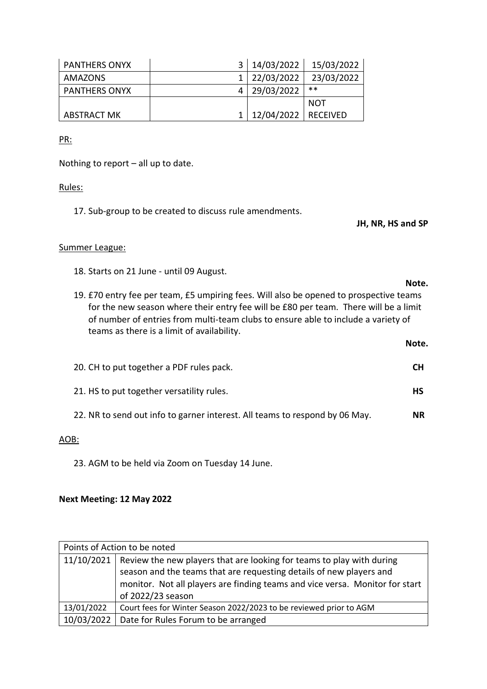| <b>PANTHERS ONYX</b> | 3   14/03/2022            | 15/03/2022 |
|----------------------|---------------------------|------------|
| AMAZONS              | 1   22/03/2022            | 23/03/2022 |
| <b>PANTHERS ONYX</b> | 29/03/2022                | $**$       |
|                      |                           | <b>NOT</b> |
| <b>ABSTRACT MK</b>   | 1   12/04/2022   RECEIVED |            |

PR:

Nothing to report – all up to date.

#### Rules:

17. Sub-group to be created to discuss rule amendments.

**JH, NR, HS and SP**

**Note.**

**Note.**

#### Summer League:

18. Starts on 21 June - until 09 August.

19. £70 entry fee per team, £5 umpiring fees. Will also be opened to prospective teams for the new season where their entry fee will be £80 per team. There will be a limit of number of entries from multi-team clubs to ensure able to include a variety of teams as there is a limit of availability.

| 20. CH to put together a PDF rules pack.                                    | CН  |
|-----------------------------------------------------------------------------|-----|
| 21. HS to put together versatility rules.                                   | НS  |
| 22. NR to send out info to garner interest. All teams to respond by 06 May. | NR. |

## AOB:

23. AGM to be held via Zoom on Tuesday 14 June.

## **Next Meeting: 12 May 2022**

| Points of Action to be noted |                                                                                                                                                                                                                                                                |
|------------------------------|----------------------------------------------------------------------------------------------------------------------------------------------------------------------------------------------------------------------------------------------------------------|
|                              | 11/10/2021   Review the new players that are looking for teams to play with during<br>season and the teams that are requesting details of new players and<br>monitor. Not all players are finding teams and vice versa. Monitor for start<br>of 2022/23 season |
| 13/01/2022                   | Court fees for Winter Season 2022/2023 to be reviewed prior to AGM                                                                                                                                                                                             |
| 10/03/2022                   | Date for Rules Forum to be arranged                                                                                                                                                                                                                            |